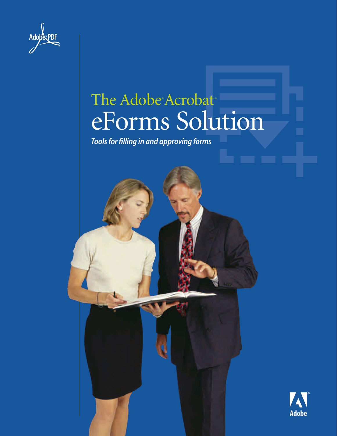| <b>Adobe</b><br><b>PDF</b> |  |
|----------------------------|--|
|                            |  |

## The Adobe<sup>®</sup> Acrobat<sup>®</sup> eForms Solution

*Tools for filling in and approving forms*



**Adobe**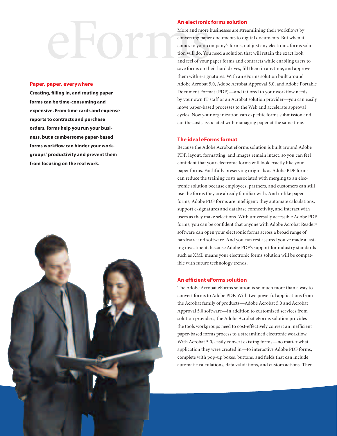# **An electronic forms solution**<br>More and more businesses are street converting paper documents to dig<br>comes to your company's forms, no<br>tion will do. You need a solution the<br>and feel of your paper forms and co<br>save forms on

#### Paper, paper, everywhere

Creating, filling in, and routing paper forms can be time-consuming and expensive. From time cards and expense reports to contracts and purchase orders, forms help you run your business, but a cumbersome paper-based forms workflow can hinder your workgroups' productivity and prevent them from focusing on the real work.



More and more businesses are streamlining their workflows by converting paper documents to digital documents. But when it comes to your company's forms, not just any electronic forms solution will do. You need a solution that will retain the exact look and feel of your paper forms and contracts while enabling users to save forms on their hard drives, fill them in anytime, and approve them with e-signatures. With an eForms solution built around Adobe Acrobat 5.0, Adobe Acrobat Approval 5.0, and Adobe Portable Document Format (PDF)—and tailored to your workflow needs by your own IT staff or an Acrobat solution provider—you can easily move paper-based processes to the Web and accelerate approval cycles. Now your organization can expedite forms submission and cut the costs associated with managing paper at the same time.

### The ideal eForms format

Because the Adobe Acrobat eForms solution is built around Adobe PDF, layout, formatting, and images remain intact, so you can feel confident that your electronic forms will look exactly like your paper forms. Faithfully preserving originals as Adobe PDF forms can reduce the training costs associated with merging to an electronic solution because employees, partners, and customers can still use the forms they are already familiar with. And unlike paper forms, Adobe PDF forms are intelligent: they automate calculations, support e-signatures and database connectivity, and interact with users as they make selections. With universally accessible Adobe PDF forms, you can be confident that anyone with Adobe Acrobat Reader® software can open your electronic forms across a broad range of hardware and software. And you can rest assured you've made a lasting investment, because Adobe PDF's support for industry standards such as XML means your electronic forms solution will be compatible with future technology trends.

### An efficient eForms solution

The Adobe Acrobat eForms solution is so much more than a way to convert forms to Adobe PDF. With two powerful applications from the Acrobat family of products—Adobe Acrobat 5.0 and Acrobat Approval 5.0 software—in addition to customized services from solution providers, the Adobe Acrobat eForms solution provides the tools workgroups need to cost-effectively convert an inefficient paper-based forms process to a streamlined electronic workflow. With Acrobat 5.0, easily convert existing forms—no matter what application they were created in—to interactive Adobe PDF forms, complete with pop-up boxes, buttons, and fields that can include automatic calculations, data validations, and custom actions. Then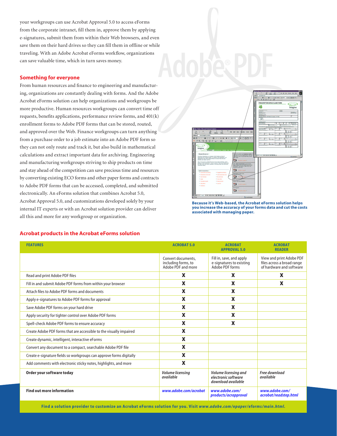your workgroups can use Acrobat Approval 5.0 to access eForms from the corporate intranet, fill them in, approve them by applying e-signatures, submit them from within their Web browsers, and even save them on their hard drives so they can fill them in offline or while traveling. With an Adobe Acrobat eForms workflow, organizations can save valuable time, which in turn saves money.

#### Something for everyone

From human resources and finance to engineering and manufacturing, organizations are constantly dealing with forms. And the Adobe Acrobat eForms solution can help organizations and workgroups be more productive. Human resources workgroups can convert time off requests, benefits applications, performance review forms, and 401(k) enrollment forms to Adobe PDF forms that can be stored, routed, and approved over the Web. Finance workgroups can turn anything from a purchase order to a job estimate into an Adobe PDF form so they can not only route and track it, but also build in mathematical calculations and extract important data for archiving. Engineering and manufacturing workgroups striving to ship products on time and stay ahead of the competition can save precious time and resources by converting existing ECO forms and other paper forms and contracts to Adobe PDF forms that can be accessed, completed, and submitted electronically. An eForms solution that combines Acrobat 5.0, Acrobat Approval 5.0, and customizations developed solely by your internal IT experts or with an Acrobat solution provider can deliver all this and more for any workgroup or organization.



Because it's Web-based, the Acrobat eForms solution helps you increase the accuracy of your forms data and cut the costs associated with managing paper.

#### Acrobat products in the Acrobat eForms solution

| <b>FEATURES</b>                                                     | <b>ACROBAT 5.0</b>                                              | <b>ACROBAT</b><br><b>APPROVAL 5.0</b>                                   | <b>ACROBAT</b><br><b>READER</b>                                                    |
|---------------------------------------------------------------------|-----------------------------------------------------------------|-------------------------------------------------------------------------|------------------------------------------------------------------------------------|
|                                                                     | Convert documents,<br>including forms, to<br>Adobe PDF and more | Fill in, save, and apply<br>e-signatures to existing<br>Adobe PDF forms | View and print Adobe PDF<br>files across a broad range<br>of hardware and software |
| Read and print Adobe PDF files                                      | X                                                               | X                                                                       | X                                                                                  |
| Fill in and submit Adobe PDF forms from within your browser         | X                                                               | X                                                                       | X                                                                                  |
| Attach files to Adobe PDF forms and documents                       | X                                                               | X                                                                       |                                                                                    |
| Apply e-signatures to Adobe PDF forms for approval                  | X                                                               | X                                                                       |                                                                                    |
| Save Adobe PDF forms on your hard drive                             | X                                                               | X                                                                       |                                                                                    |
| Apply security for tighter control over Adobe PDF forms             | X                                                               | X                                                                       |                                                                                    |
| Spell-check Adobe PDF forms to ensure accuracy                      | X                                                               | X                                                                       |                                                                                    |
| Create Adobe PDF forms that are accessible to the visually impaired | X                                                               |                                                                         |                                                                                    |
| Create dynamic, intelligent, interactive eForms                     | X                                                               |                                                                         |                                                                                    |
| Convert any document to a compact, searchable Adobe PDF file        | X                                                               |                                                                         |                                                                                    |
| Create e-signature fields so workgroups can approve forms digitally | X                                                               |                                                                         |                                                                                    |
| Add comments with electronic sticky notes, highlights, and more     | X                                                               |                                                                         |                                                                                    |
| Order your software today                                           | Volume licensing<br>available                                   | Volume licensing and<br>electronic software<br>download available       | Free download<br>available                                                         |
| <b>Find out more information</b>                                    | www.adobe.com/acrobat                                           | www.adobe.com/<br>products/acrapproval                                  | www.adobe.com/<br>acrobat/readstep.html                                            |

Find a solution provider to customize an Acrobat eForms solution for you. Visit *[www.adobe.com /epaper /eforms / main.html.](http://www.adobe.com/epaper/eforms/main.html)*